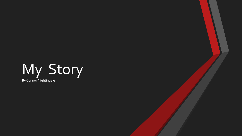## My Story By Connor Nightingale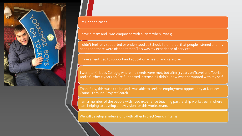

## I'm Connor, I'm 22

I have autism and I was diagnosed with autism when I was 5

I didn't feel fully supported or understood at School. I didn't feel that people listened and my needs and there were oftennot met. This was my experience of services.

I have an entitled to support and education – health and care plan

I went to Kirklees College, where me needs were met, but after 3 years on Travel and Tourism and a further 2 years on Pre Supported internship I didn't know what he wanted with my self.

Thankfully, this wasn't to be and I was able to seek an employment opportunity at Kirklees Council through Project Search.

I am a member of the people with lived experience teaching partnership workstream, where I am helping to develop a new vision for this workstream.

We will develop a video along with other Project Search interns.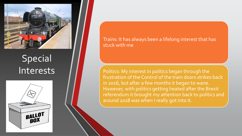

## Special Interests



Trains: It has always been a lifelong interest that has stuck with me

Politics: My interest in politics began through the frustration of the Control of the train doors strikes back in 2016, but after a few months it began to wane. However, with politics getting heated after the Brexit referendum it brought my attention back to politics and around 2018 was when I really got into it.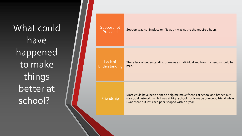What could have happened to make things better at school?

| Support not<br>Provided  | Support was not in place or if it was it was not to the required hours.                                                                                                                                                |
|--------------------------|------------------------------------------------------------------------------------------------------------------------------------------------------------------------------------------------------------------------|
| Lack of<br>Understanding | There lack of understanding of me as an individual and how my needs should be<br>met.                                                                                                                                  |
| Friendship               | More could have been done to help me make friends at school and branch out<br>my social network, while I was at High school. I only made one good friend while<br>I was there but it turned pear-shaped within a year. |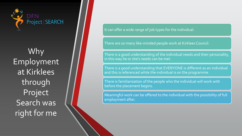

Why Employment at Kirklees through Project Search was right for me

It can offer a wide range of job types for the individual.

There are so many like-minded people work at Kirklees Council.

There is a good understanding of the individual needs and their personality, in this way he or she's needs can be met.

There is a good understanding that EVERYONE is different as an individual and this is referenced while the individual is on the programme.

There is familiarisation of the people who the individual will work with before the placement begins.

Meaningful work can be offered to the individual with the possibility of full employment after.